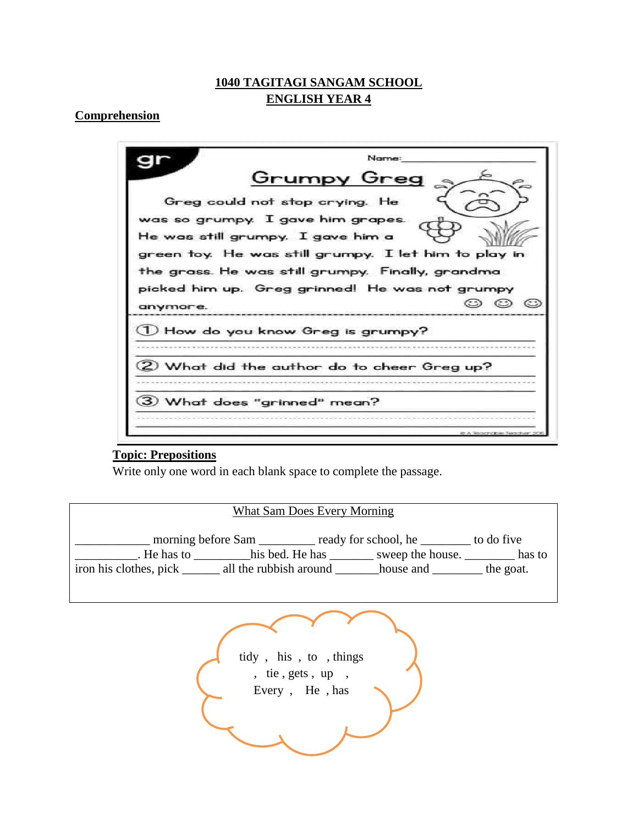## **1040 TAGITAGI SANGAM SCHOOL ENGLISH YEAR 4**

### **Comprehension**

|          | Name:                                                                                                                          |
|----------|--------------------------------------------------------------------------------------------------------------------------------|
|          | <u>Grumpy Greg</u>                                                                                                             |
|          | Greg could not stop crying. He                                                                                                 |
|          | was so grumpy. I gave him grapes.<br>He was still grumpy. I gave him a<br>green toy. He was still grumpy. I let him to play in |
|          | the grass. He was still grumpy. Finally, grandma                                                                               |
|          | picked him up. Greg grinned! He was not grumpy                                                                                 |
| anymore. | $\odot$ $\odot$ $\odot$                                                                                                        |
|          | U How do you know Greg is grumpy?                                                                                              |
|          |                                                                                                                                |
|          | 2) What did the author do to cheer Greg up?                                                                                    |
|          |                                                                                                                                |
|          | 3) What does "grinned" mean?                                                                                                   |
|          |                                                                                                                                |

### **Topic: Prepositions**

Write only one word in each blank space to complete the passage.

### What Sam Does Every Morning

\_\_\_\_\_\_\_\_\_\_\_\_ morning before Sam \_\_\_\_\_\_\_\_\_ ready for school, he \_\_\_\_\_\_\_\_ to do five Let us a sweep the house. This bed. He has  $\frac{1}{2}$  sweep the house. Thas to iron his clothes, pick \_\_\_\_\_\_\_ all the rubbish around \_\_\_\_\_\_\_house and \_\_\_\_\_\_\_\_\_ the goat.

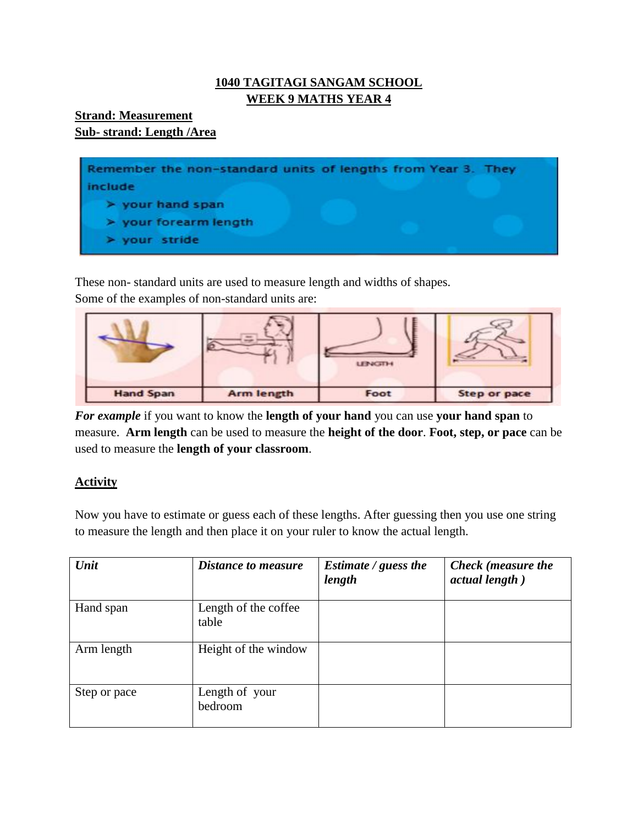# **1040 TAGITAGI SANGAM SCHOOL WEEK 9 MATHS YEAR 4**

## **Strand: Measurement Sub- strand: Length /Area**



These non- standard units are used to measure length and widths of shapes. Some of the examples of non-standard units are:



*For example* if you want to know the **length of your hand** you can use **your hand span** to measure. **Arm length** can be used to measure the **height of the door**. **Foot, step, or pace** can be used to measure the **length of your classroom**.

# **Activity**

Now you have to estimate or guess each of these lengths. After guessing then you use one string to measure the length and then place it on your ruler to know the actual length.

| Unit         | <b>Distance to measure</b>    | Estimate / guess the<br>length | <b>Check</b> (measure the<br>actual length) |
|--------------|-------------------------------|--------------------------------|---------------------------------------------|
| Hand span    | Length of the coffee<br>table |                                |                                             |
| Arm length   | Height of the window          |                                |                                             |
| Step or pace | Length of your<br>bedroom     |                                |                                             |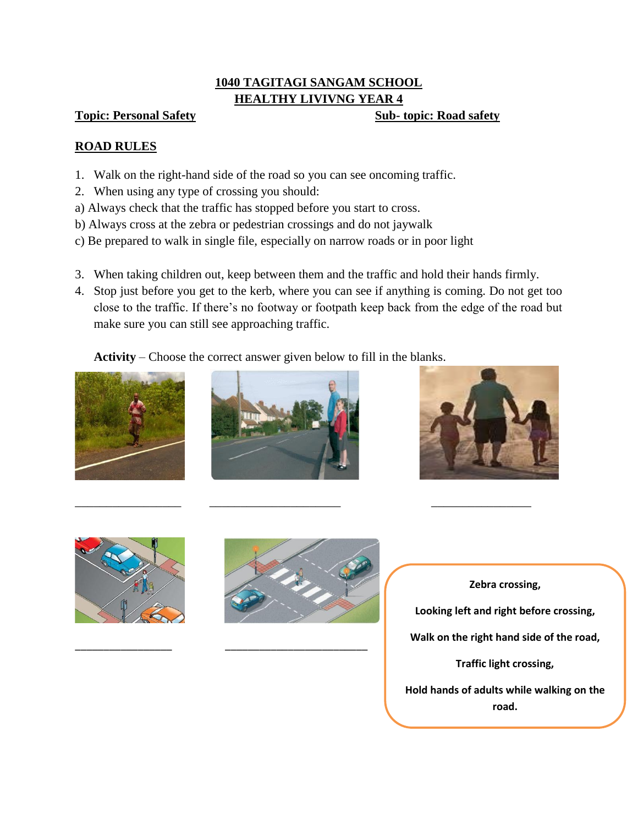# **1040 TAGITAGI SANGAM SCHOOL HEALTHY LIVIVNG YEAR 4**

### **Topic: Personal Safety Sub- Sub- topic: Road safety**

## **ROAD RULES**

- 1. Walk on the right-hand side of the road so you can see oncoming traffic.
- 2. When using any type of crossing you should:
- a) Always check that the traffic has stopped before you start to cross.
- b) Always cross at the zebra or pedestrian crossings and do not jaywalk
- c) Be prepared to walk in single file, especially on narrow roads or in poor light
- 3. When taking children out, keep between them and the traffic and hold their hands firmly.
- 4. Stop just before you get to the kerb, where you can see if anything is coming. Do not get too close to the traffic. If there's no footway or footpath keep back from the edge of the road but make sure you can still see approaching traffic.

# **Activity** – Choose the correct answer given below to fill in the blanks.











\_\_\_\_\_\_\_\_\_\_\_\_\_\_\_\_\_ \_\_\_\_\_\_\_\_\_\_\_\_\_\_\_\_\_\_\_\_\_\_\_\_\_

\_\_\_\_\_\_\_\_\_\_\_\_\_\_\_\_\_ \_\_\_\_\_\_\_\_\_\_\_\_\_\_\_\_\_\_\_\_\_ \_\_\_\_\_\_\_\_\_\_\_\_\_\_\_\_

**Zebra crossing, Looking left and right before crossing, Walk on the right hand side of the road, Traffic light crossing, Hold hands of adults while walking on the road.**